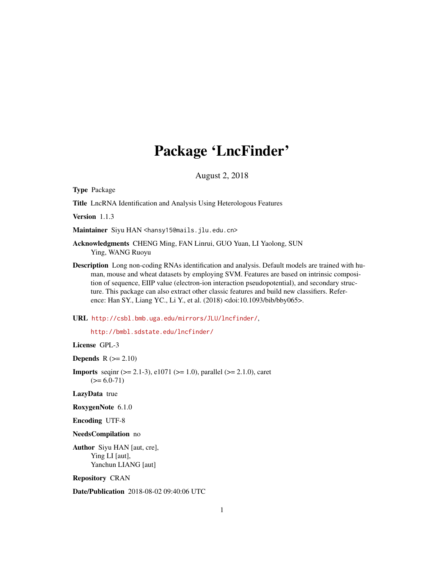## Package 'LncFinder'

August 2, 2018

<span id="page-0-0"></span>Type Package

Title LncRNA Identification and Analysis Using Heterologous Features

Version 1.1.3

Maintainer Siyu HAN <hansy15@mails.jlu.edu.cn>

Acknowledgments CHENG Ming, FAN Linrui, GUO Yuan, LI Yaolong, SUN Ying, WANG Ruoyu

Description Long non-coding RNAs identification and analysis. Default models are trained with human, mouse and wheat datasets by employing SVM. Features are based on intrinsic composition of sequence, EIIP value (electron-ion interaction pseudopotential), and secondary structure. This package can also extract other classic features and build new classifiers. Reference: Han SY., Liang YC., Li Y., et al. (2018) <doi:10.1093/bib/bby065>.

#### URL <http://csbl.bmb.uga.edu/mirrors/JLU/lncfinder/>,

<http://bmbl.sdstate.edu/lncfinder/>

License GPL-3

**Depends**  $R$  ( $>= 2.10$ )

**Imports** seqint ( $> = 2.1-3$ ), e1071 ( $> = 1.0$ ), parallel ( $> = 2.1.0$ ), caret  $(>= 6.0 - 71)$ 

LazyData true

RoxygenNote 6.1.0

Encoding UTF-8

NeedsCompilation no

Author Siyu HAN [aut, cre], Ying LI [aut], Yanchun LIANG [aut]

Repository CRAN

Date/Publication 2018-08-02 09:40:06 UTC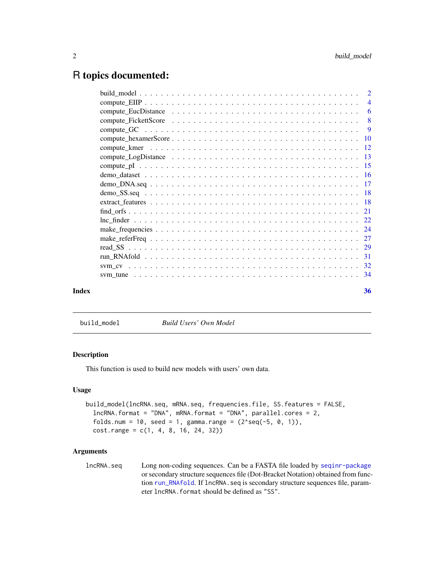## <span id="page-1-0"></span>R topics documented:

| Index | 36 |
|-------|----|

<span id="page-1-1"></span>build\_model *Build Users' Own Model*

## Description

This function is used to build new models with users' own data.

## Usage

```
build_model(lncRNA.seq, mRNA.seq, frequencies.file, SS.features = FALSE,
  lncRNA.format = "DNA", mRNA.format = "DNA", parallel.cores = 2,
  folds.num = 10, seed = 1, gamma.range = (2 \text{ }8)g(-5, 0, 1)),
  cost.range = c(1, 4, 8, 16, 24, 32))
```
## Arguments

lncRNA.seq Long non-coding sequences. Can be a FASTA file loaded by [seqinr-package](#page-0-0) or secondary structure sequences file (Dot-Bracket Notation) obtained from function [run\\_RNAfold](#page-30-1). If lncRNA. seq is secondary structure sequences file, parameter lncRNA.format should be defined as "SS".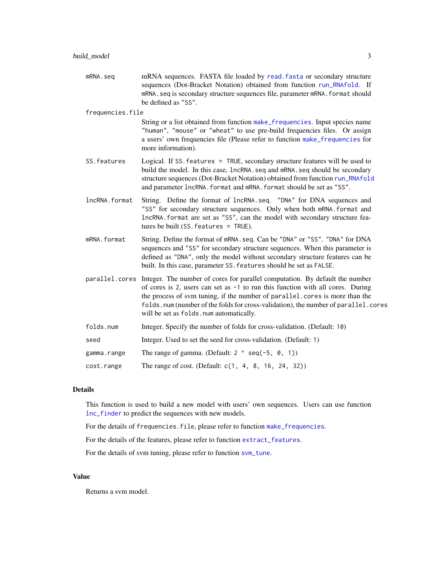<span id="page-2-0"></span>mRNA.seq mRNA sequences. FASTA file loaded by [read.fasta](#page-0-0) or secondary structure sequences (Dot-Bracket Notation) obtained from function [run\\_RNAfold](#page-30-1). If mRNA.seq is secondary structure sequences file, parameter mRNA.format should be defined as "SS".

frequencies.file

String or a list obtained from function [make\\_frequencies](#page-23-1). Input species name "human", "mouse" or "wheat" to use pre-build frequencies files. Or assign a users' own frequencies file (Please refer to function [make\\_frequencies](#page-23-1) for more information).

- SS.features Logical. If SS.features = TRUE, secondary structure features will be used to build the model. In this case, lncRNA.seq and mRNA.seq should be secondary structure sequences (Dot-Bracket Notation) obtained from function [run\\_RNAfold](#page-30-1) and parameter lncRNA.format and mRNA.format should be set as "SS".
- lncRNA.format String. Define the format of lncRNA.seq. "DNA" for DNA sequences and "SS" for secondary structure sequences. Only when both mRNA.format and lncRNA.format are set as "SS", can the model with secondary structure features be built (SS.features = TRUE).
- mRNA.format String. Define the format of mRNA.seq. Can be "DNA" or "SS". "DNA" for DNA sequences and "SS" for secondary structure sequences. When this parameter is defined as "DNA", only the model without secondary structure features can be built. In this case, parameter SS.features should be set as FALSE.
- parallel.cores Integer. The number of cores for parallel computation. By default the number of cores is 2, users can set as -1 to run this function with all cores. During the process of svm tuning, if the number of parallel.cores is more than the folds.num (number of the folds for cross-validation), the number of parallel.cores will be set as folds.num automatically.
- folds.num Integer. Specify the number of folds for cross-validation. (Default: 10)
- seed Integer. Used to set the seed for cross-validation. (Default: 1)
- gamma.range The range of gamma. (Default:  $2 \land \text{seq}(-5, 0, 1)$ )
- cost.range The range of cost. (Default: c(1, 4, 8, 16, 24, 32))

## **Details**

This function is used to build a new model with users' own sequences. Users can use function [lnc\\_finder](#page-21-1) to predict the sequences with new models.

For the details of frequencies.file, please refer to function [make\\_frequencies](#page-23-1).

For the details of the features, please refer to function [extract\\_features](#page-17-1).

For the details of svm tuning, please refer to function [svm\\_tune](#page-33-1).

## Value

Returns a svm model.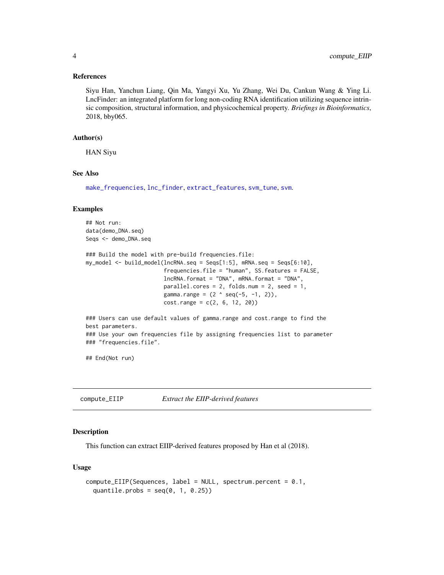#### <span id="page-3-0"></span>References

Siyu Han, Yanchun Liang, Qin Ma, Yangyi Xu, Yu Zhang, Wei Du, Cankun Wang & Ying Li. LncFinder: an integrated platform for long non-coding RNA identification utilizing sequence intrinsic composition, structural information, and physicochemical property. *Briefings in Bioinformatics*, 2018, bby065.

#### Author(s)

HAN Siyu

## See Also

[make\\_frequencies](#page-23-1), [lnc\\_finder](#page-21-1), [extract\\_features](#page-17-1), [svm\\_tune](#page-33-1), [svm](#page-0-0).

#### Examples

## Not run: data(demo\_DNA.seq) Seqs <- demo\_DNA.seq

```
### Build the model with pre-build frequencies.file:
my_model <- build_model(lncRNA.seq = Seqs[1:5], mRNA.seq = Seqs[6:10],
                        frequencies.file = "human", SS.features = FALSE,
                        lncRNA.format = "DNA", mRNA.format = "DNA",
                        parallel.cores = 2, folds.num = 2, seed = 1,
                        gamma.range = (2 \land seq(-5, -1, 2)),cost.random = c(2, 6, 12, 20)
```
### Users can use default values of gamma.range and cost.range to find the best parameters. ### Use your own frequencies file by assigning frequencies list to parameter ### "frequencies.file".

## End(Not run)

compute\_EIIP *Extract the EIIP-derived features*

## Description

This function can extract EIIP-derived features proposed by Han et al (2018).

#### Usage

```
compute_EIIP(Sequences, label = NULL, spectrum.percent = 0.1,
  quantile.probs = seq(0, 1, 0.25))
```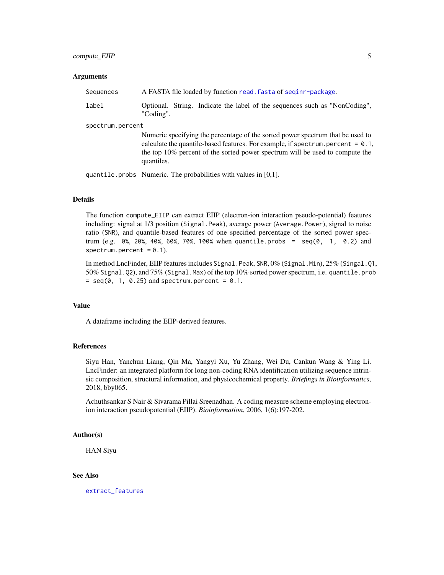#### <span id="page-4-0"></span>**Arguments**

| Sequences | A FASTA file loaded by function read. fasta of seginr-package.                          |
|-----------|-----------------------------------------------------------------------------------------|
| label     | Optional. String. Indicate the label of the sequences such as "NonCoding".<br>"Coding". |

spectrum.percent

Numeric specifying the percentage of the sorted power spectrum that be used to calculate the quantile-based features. For example, if spectrum.percent =  $0.1$ , the top 10% percent of the sorted power spectrum will be used to compute the quantiles.

quantile.probs Numeric. The probabilities with values in [0,1].

## Details

The function compute\_EIIP can extract EIIP (electron-ion interaction pseudo-potential) features including: signal at 1/3 position (Signal.Peak), average power (Average.Power), signal to noise ratio (SNR), and quantile-based features of one specified percentage of the sorted power spectrum (e.g. 0%, 20%, 40%, 60%, 70%, 100% when quantile.probs =  $seq(0, 1, 0.2)$  and spectrum.percent =  $0.1$ ).

In method LncFinder, EIIP features includes Signal.Peak, SNR, 0% (Signal.Min), 25% (Singal.Q1, 50% Signal.Q2), and 75% (Signal.Max) of the top 10% sorted power spectrum, i.e. quantile.prob  $=$  seq(0, 1, 0.25) and spectrum.percent = 0.1.

#### Value

A dataframe including the EIIP-derived features.

#### References

Siyu Han, Yanchun Liang, Qin Ma, Yangyi Xu, Yu Zhang, Wei Du, Cankun Wang & Ying Li. LncFinder: an integrated platform for long non-coding RNA identification utilizing sequence intrinsic composition, structural information, and physicochemical property. *Briefings in Bioinformatics*, 2018, bby065.

Achuthsankar S Nair & Sivarama Pillai Sreenadhan. A coding measure scheme employing electronion interaction pseudopotential (EIIP). *Bioinformation*, 2006, 1(6):197-202.

#### Author(s)

HAN Siyu

## See Also

[extract\\_features](#page-17-1)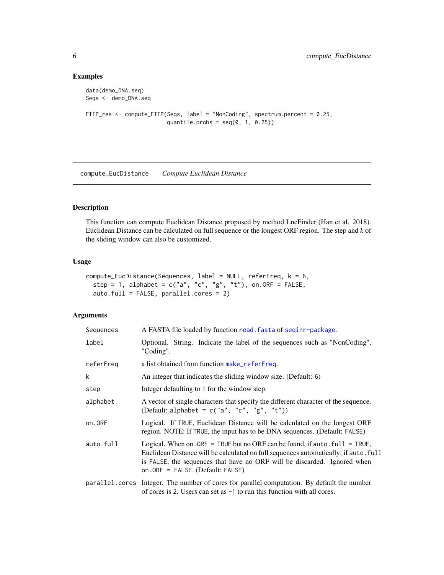## Examples

```
data(demo_DNA.seq)
Seqs <- demo_DNA.seq
EIIP_res <- compute_EIIP(Seqs, label = "NonCoding", spectrum.percent = 0.25,
                        quantile.probs = seq(0, 1, 0.25)
```
<span id="page-5-1"></span>compute\_EucDistance *Compute Euclidean Distance*

## Description

This function can compute Euclidean Distance proposed by method LncFinder (Han et al. 2018). Euclidean Distance can be calculated on full sequence or the longest ORF region. The step and *k* of the sliding window can also be customized.

## Usage

```
compute_EucDistance(Sequences, label = NULL, referFreq, k = 6,
  step = 1, alphabet = c("a", "c", "g", "t"), on. ORF = FALSE,
  auto.full = FALSE, parallel.cores = 2)
```

| Sequences | A FASTA file loaded by function read. fasta of seqinr-package.                                                                                                                                                                                                                            |
|-----------|-------------------------------------------------------------------------------------------------------------------------------------------------------------------------------------------------------------------------------------------------------------------------------------------|
| label     | Optional. String. Indicate the label of the sequences such as "NonCoding",<br>"Coding".                                                                                                                                                                                                   |
| referFreq | a list obtained from function make_referFreq.                                                                                                                                                                                                                                             |
| k         | An integer that indicates the sliding window size. (Default: 6)                                                                                                                                                                                                                           |
| step      | Integer defaulting to 1 for the window step.                                                                                                                                                                                                                                              |
| alphabet  | A vector of single characters that specify the different character of the sequence.<br>(Default: alphabet = $c("a", "c", "g", "t"))$ )                                                                                                                                                    |
| on.ORF    | Logical. If TRUE, Euclidean Distance will be calculated on the longest ORF<br>region. NOTE: If TRUE, the input has to be DNA sequences. (Default: FALSE)                                                                                                                                  |
| auto.full | Logical. When on . ORF = TRUE but no ORF can be found, if auto . $full = TRUE$ ,<br>Euclidean Distance will be calculated on full sequences automatically; if auto. full<br>is FALSE, the sequences that have no ORF will be discarded. Ignored when<br>on. ORF = FALSE. (Default: FALSE) |
|           | parallel.cores Integer. The number of cores for parallel computation. By default the number<br>of cores is 2. Users can set as $-1$ to run this function with all cores.                                                                                                                  |

<span id="page-5-0"></span>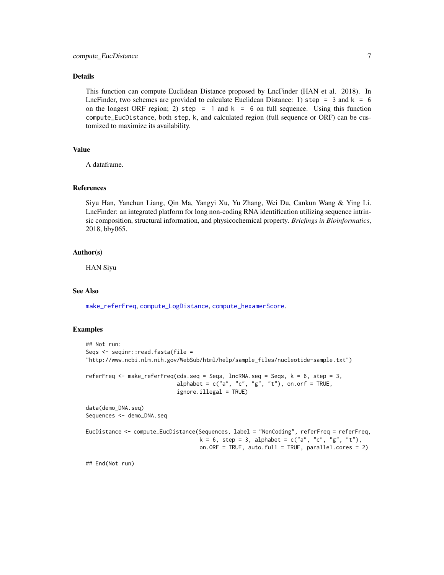## <span id="page-6-0"></span>Details

This function can compute Euclidean Distance proposed by LncFinder (HAN et al. 2018). In LncFinder, two schemes are provided to calculate Euclidean Distance: 1) step = 3 and  $k = 6$ on the longest ORF region; 2) step = 1 and  $k = 6$  on full sequence. Using this function compute\_EucDistance, both step, k, and calculated region (full sequence or ORF) can be customized to maximize its availability.

#### Value

A dataframe.

## References

Siyu Han, Yanchun Liang, Qin Ma, Yangyi Xu, Yu Zhang, Wei Du, Cankun Wang & Ying Li. LncFinder: an integrated platform for long non-coding RNA identification utilizing sequence intrinsic composition, structural information, and physicochemical property. *Briefings in Bioinformatics*, 2018, bby065.

#### Author(s)

HAN Siyu

#### See Also

[make\\_referFreq](#page-26-1), [compute\\_LogDistance](#page-12-1), [compute\\_hexamerScore](#page-9-1).

### Examples

```
## Not run:
Seqs <- seqinr::read.fasta(file =
"http://www.ncbi.nlm.nih.gov/WebSub/html/help/sample_files/nucleotide-sample.txt")
referFreq <- make_referFreq(cds.seq = Seqs, lncRNA.seq = Seqs, k = 6, step = 3,
                            alphabet = c("a", "c", "g", "t"), on.on.orf = TRUE,
                            ignore.illegal = TRUE)
data(demo_DNA.seq)
Sequences <- demo_DNA.seq
EucDistance <- compute_EucDistance(Sequences, label = "NonCoding", referFreq = referFreq,
                                   k = 6, step = 3, alphabet = c("a", "c", "g", "t"),
                                   on.ORF = TRUE, auto.full = TRUE, parallel.cores = 2)
```
## End(Not run)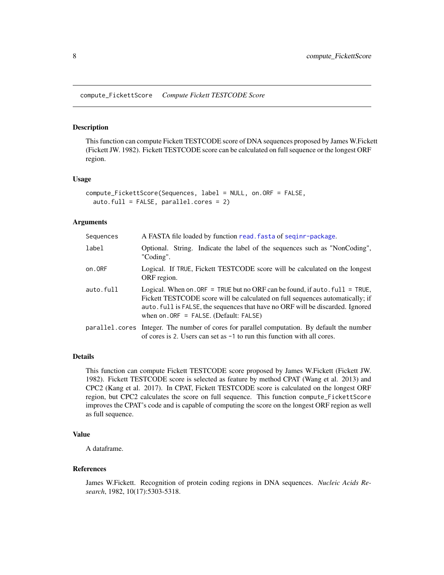<span id="page-7-0"></span>compute\_FickettScore *Compute Fickett TESTCODE Score*

## Description

This function can compute Fickett TESTCODE score of DNA sequences proposed by James W.Fickett (Fickett JW. 1982). Fickett TESTCODE score can be calculated on full sequence or the longest ORF region.

## Usage

```
compute_FickettScore(Sequences, label = NULL, on.ORF = FALSE,
  auto.full = FALSE, parallel.cores = 2)
```
## Arguments

| Sequences | A FASTA file loaded by function read. fasta of seginr-package.                                                                                                                                                                                                                                |
|-----------|-----------------------------------------------------------------------------------------------------------------------------------------------------------------------------------------------------------------------------------------------------------------------------------------------|
| label     | Optional. String. Indicate the label of the sequences such as "NonCoding",<br>"Coding".                                                                                                                                                                                                       |
| on.ORF    | Logical. If TRUE, Fickett TESTCODE score will be calculated on the longest<br>ORF region.                                                                                                                                                                                                     |
| auto.full | Logical. When on. ORF = TRUE but no ORF can be found, if auto. $full = TRUE$ ,<br>Fickett TESTCODE score will be calculated on full sequences automatically; if<br>auto. full is FALSE, the sequences that have no ORF will be discarded. Ignored<br>when on $ORF = FALSE$ . (Default: FALSE) |
|           | parallel.cores Integer. The number of cores for parallel computation. By default the number<br>of cores is 2. Users can set as $-1$ to run this function with all cores.                                                                                                                      |

#### Details

This function can compute Fickett TESTCODE score proposed by James W.Fickett (Fickett JW. 1982). Fickett TESTCODE score is selected as feature by method CPAT (Wang et al. 2013) and CPC2 (Kang et al. 2017). In CPAT, Fickett TESTCODE score is calculated on the longest ORF region, but CPC2 calculates the score on full sequence. This function compute\_FickettScore improves the CPAT's code and is capable of computing the score on the longest ORF region as well as full sequence.

#### Value

A dataframe.

## References

James W.Fickett. Recognition of protein coding regions in DNA sequences. *Nucleic Acids Research*, 1982, 10(17):5303-5318.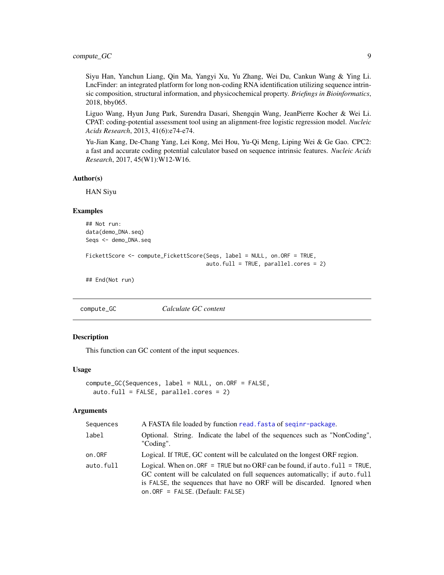## <span id="page-8-0"></span>compute\_GC 9

Siyu Han, Yanchun Liang, Qin Ma, Yangyi Xu, Yu Zhang, Wei Du, Cankun Wang & Ying Li. LncFinder: an integrated platform for long non-coding RNA identification utilizing sequence intrinsic composition, structural information, and physicochemical property. *Briefings in Bioinformatics*, 2018, bby065.

Liguo Wang, Hyun Jung Park, Surendra Dasari, Shengqin Wang, JeanPierre Kocher & Wei Li. CPAT: coding-potential assessment tool using an alignment-free logistic regression model. *Nucleic Acids Research*, 2013, 41(6):e74-e74.

Yu-Jian Kang, De-Chang Yang, Lei Kong, Mei Hou, Yu-Qi Meng, Liping Wei & Ge Gao. CPC2: a fast and accurate coding potential calculator based on sequence intrinsic features. *Nucleic Acids Research*, 2017, 45(W1):W12-W16.

#### Author(s)

HAN Siyu

## Examples

## Not run: data(demo\_DNA.seq) Seqs <- demo\_DNA.seq

```
FickettScore <- compute_FickettScore(Seqs, label = NULL, on.ORF = TRUE,
                                     auto.full = TRUE, parallel.cores = 2)
```
## End(Not run)

compute\_GC *Calculate GC content*

#### Description

This function can GC content of the input sequences.

## Usage

```
compute_GC(Sequences, label = NULL, on.ORF = FALSE,
  auto.full = FALSE, parallel.cores = 2)
```

| Sequences | A FASTA file loaded by function read. fasta of seginr-package.                                                                                                                                                                                                                 |
|-----------|--------------------------------------------------------------------------------------------------------------------------------------------------------------------------------------------------------------------------------------------------------------------------------|
| label     | Optional. String. Indicate the label of the sequences such as "NonCoding",<br>"Coding".                                                                                                                                                                                        |
| on.ORF    | Logical. If TRUE, GC content will be calculated on the longest ORF region.                                                                                                                                                                                                     |
| auto.full | Logical. When on, ORF = TRUE but no ORF can be found, if auto, $full = TRUE$ ,<br>GC content will be calculated on full sequences automatically; if auto full<br>is FALSE, the sequences that have no ORF will be discarded. Ignored when<br>on. ORF = FALSE. (Default: FALSE) |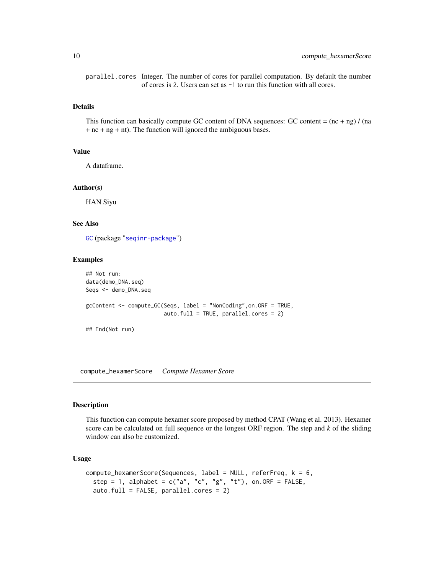parallel.cores Integer. The number of cores for parallel computation. By default the number of cores is 2. Users can set as -1 to run this function with all cores.

#### Details

This function can basically compute GC content of DNA sequences: GC content =  $(nc + ng) / (na)$ + nc + ng + nt). The function will ignored the ambiguous bases.

## Value

A dataframe.

#### Author(s)

HAN Siyu

## See Also

[GC](#page-0-0) (package "[seqinr-package](#page-0-0)")

#### Examples

```
## Not run:
data(demo_DNA.seq)
Seqs <- demo_DNA.seq
gcContent <- compute_GC(Seqs, label = "NonCoding",on.ORF = TRUE,
                        auto.full = TRUE, parallel.cores = 2)
```
## End(Not run)

<span id="page-9-1"></span>compute\_hexamerScore *Compute Hexamer Score*

#### Description

This function can compute hexamer score proposed by method CPAT (Wang et al. 2013). Hexamer score can be calculated on full sequence or the longest ORF region. The step and *k* of the sliding window can also be customized.

## Usage

```
compute_hexamerScore(Sequences, label = NULL, referFreq, k = 6,
  step = 1, alphabet = c("a", "c", "g", "t"), on. ORF = FALSE,auto.full = FALSE, parallel.cores = 2)
```
<span id="page-9-0"></span>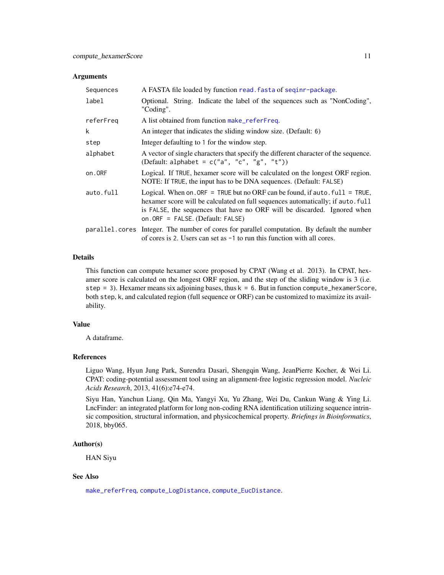#### <span id="page-10-0"></span>**Arguments**

| Sequences | A FASTA file loaded by function read. fasta of seginr-package.                                                                                                                                                                                                                     |
|-----------|------------------------------------------------------------------------------------------------------------------------------------------------------------------------------------------------------------------------------------------------------------------------------------|
| label     | Optional. String. Indicate the label of the sequences such as "NonCoding",<br>"Coding".                                                                                                                                                                                            |
| referFreq | A list obtained from function make_referFreq.                                                                                                                                                                                                                                      |
| k         | An integer that indicates the sliding window size. (Default: 6)                                                                                                                                                                                                                    |
| step      | Integer defaulting to 1 for the window step.                                                                                                                                                                                                                                       |
| alphabet  | A vector of single characters that specify the different character of the sequence.<br>(Default: alphabet = $c("a", "c", "g", "t"))$                                                                                                                                               |
| on.ORF    | Logical. If TRUE, hexamer score will be calculated on the longest ORF region.<br>NOTE: If TRUE, the input has to be DNA sequences. (Default: FALSE)                                                                                                                                |
| auto.full | Logical. When on. ORF = TRUE but no ORF can be found, if auto. $full = TRUE$ ,<br>hexamer score will be calculated on full sequences automatically; if auto. full<br>is FALSE, the sequences that have no ORF will be discarded. Ignored when<br>on. ORF = FALSE. (Default: FALSE) |
|           | parallel.cores Integer. The number of cores for parallel computation. By default the number<br>of cores is 2. Users can set as $-1$ to run this function with all cores.                                                                                                           |

## Details

This function can compute hexamer score proposed by CPAT (Wang et al. 2013). In CPAT, hexamer score is calculated on the longest ORF region, and the step of the sliding window is 3 (i.e. step = 3). Hexamer means six adjoining bases, thus  $k = 6$ . But in function compute\_hexamerScore, both step, k, and calculated region (full sequence or ORF) can be customized to maximize its availability.

## Value

A dataframe.

## References

Liguo Wang, Hyun Jung Park, Surendra Dasari, Shengqin Wang, JeanPierre Kocher, & Wei Li. CPAT: coding-potential assessment tool using an alignment-free logistic regression model. *Nucleic Acids Research*, 2013, 41(6):e74-e74.

Siyu Han, Yanchun Liang, Qin Ma, Yangyi Xu, Yu Zhang, Wei Du, Cankun Wang & Ying Li. LncFinder: an integrated platform for long non-coding RNA identification utilizing sequence intrinsic composition, structural information, and physicochemical property. *Briefings in Bioinformatics*, 2018, bby065.

## Author(s)

HAN Siyu

## See Also

[make\\_referFreq](#page-26-1), [compute\\_LogDistance](#page-12-1), [compute\\_EucDistance](#page-5-1).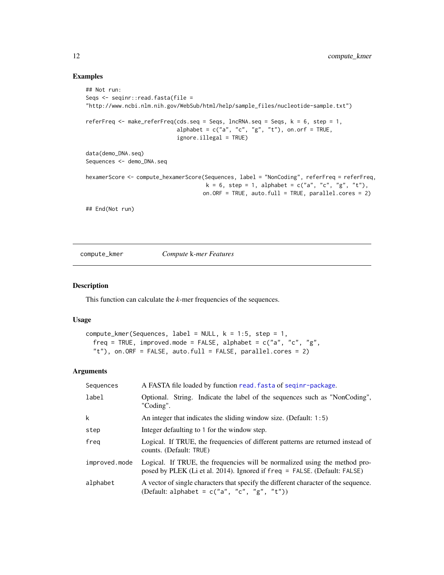#### Examples

```
## Not run:
Seqs <- seqinr::read.fasta(file =
"http://www.ncbi.nlm.nih.gov/WebSub/html/help/sample_files/nucleotide-sample.txt")
referFreq \leq make_referFreq(cds.seq = Seqs, lncRNA.seq = Seqs, k = 6, step = 1,
                            alphabet = c("a", "c", "g", "t"), on.orf = TRUE,ignore.illegal = TRUE)
data(demo_DNA.seq)
Sequences <- demo_DNA.seq
hexamerScore <- compute_hexamerScore(Sequences, label = "NonCoding", referFreq = referFreq,
                                     k = 6, step = 1, alphabet = c("a", "c", "g", "t"),
                                    on.ORF = TRUE, auto.full = TRUE, parallel.cores = 2)
## End(Not run)
```
compute\_kmer *Compute* k*-mer Features*

#### Description

This function can calculate the *k*-mer frequencies of the sequences.

#### Usage

```
compute_kmer(Sequences, label = NULL, k = 1:5, step = 1,
  freq = TRUE, improved.mode = FALSE, alphabet = c("a", "c", "g","t"), on.ORF = FALSE, auto.full = FALSE, parallel.cores = 2)
```

| Sequences     | A FASTA file loaded by function read. fasta of seginr-package.                                                                                          |
|---------------|---------------------------------------------------------------------------------------------------------------------------------------------------------|
| label         | Optional. String. Indicate the label of the sequences such as "NonCoding",<br>"Coding".                                                                 |
| k             | An integer that indicates the sliding window size. (Default: 1:5)                                                                                       |
| step          | Integer defaulting to 1 for the window step.                                                                                                            |
| freq          | Logical. If TRUE, the frequencies of different patterns are returned instead of<br>counts. (Default: TRUE)                                              |
| improved.mode | Logical. If TRUE, the frequencies will be normalized using the method pro-<br>posed by PLEK (Li et al. 2014). Ignored if freq = FALSE. (Default: FALSE) |
| alphabet      | A vector of single characters that specify the different character of the sequence.<br>(Default: alphabet = $c("a", "c", "g", "t"))$                    |

<span id="page-11-0"></span>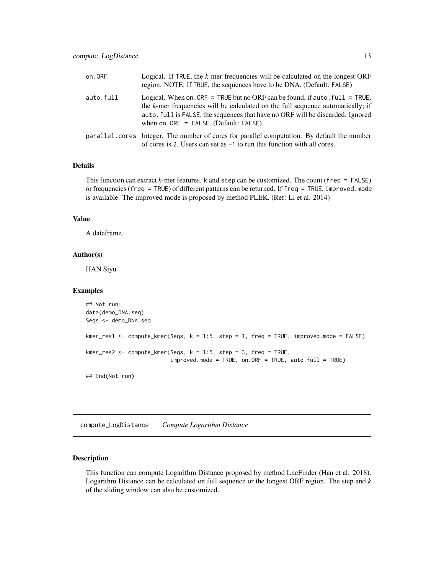<span id="page-12-0"></span>

| on.ORF    | Logical. If TRUE, the k-mer frequencies will be calculated on the longest ORF<br>region. NOTE: If TRUE, the sequences have to be DNA. (Default: FALSE)                                                                                                                                               |
|-----------|------------------------------------------------------------------------------------------------------------------------------------------------------------------------------------------------------------------------------------------------------------------------------------------------------|
| auto.full | Logical. When on . ORF = TRUE but no ORF can be found, if auto . $full = TRUE$ ,<br>the $k$ -mer frequencies will be calculated on the full sequence automatically; if<br>auto. full is FALSE, the sequences that have no ORF will be discarded. Ignored<br>when on $ORF = FALSE$ . (Default: FALSE) |
|           | parallel.cores Integer. The number of cores for parallel computation. By default the number<br>of cores is 2. Users can set as -1 to run this function with all cores.                                                                                                                               |

## Details

This function can extract *k*-mer features. k and step can be customized. The count (freq = FALSE) or frequencies (freq = TRUE) of different patterns can be returned. If freq = TRUE, improved.mode is available. The improved mode is proposed by method PLEK. (Ref: Li et al. 2014)

## Value

A dataframe.

#### Author(s)

HAN Siyu

#### Examples

```
## Not run:
data(demo_DNA.seq)
Seqs <- demo_DNA.seq
kmer_res1 <- compute_kmer(Seqs, k = 1:5, step = 1, freq = TRUE, improved.mode = FALSE)
kmer_res2 <- compute_kmer(Seqs, k = 1:5, step = 3, freq = TRUE,
                          improved mode = TRUE, on. ORF = TRUE, auto.full = TRUE)
## End(Not run)
```
<span id="page-12-1"></span>compute\_LogDistance *Compute Logarithm Distance*

#### Description

This function can compute Logarithm Distance proposed by method LncFinder (Han et al. 2018). Logarithm Distance can be calculated on full sequence or the longest ORF region. The step and *k* of the sliding window can also be customized.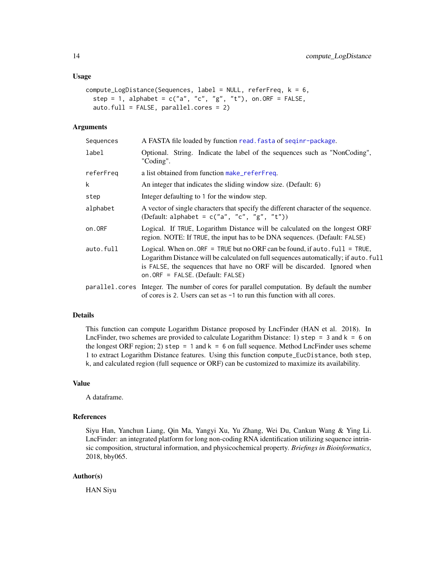#### <span id="page-13-0"></span>Usage

```
compute_LogDistance(Sequences, label = NULL, referFreq, k = 6,
  step = 1, alphabet = c("a", "c", "g", "t"), on.ORF = FALSE,
  auto.full = FALSE, parallel.cores = 2)
```
## Arguments

| Sequences | A FASTA file loaded by function read. fasta of seginr-package.                                                                                                                                                                                                                          |
|-----------|-----------------------------------------------------------------------------------------------------------------------------------------------------------------------------------------------------------------------------------------------------------------------------------------|
| label     | Optional. String. Indicate the label of the sequences such as "NonCoding",<br>"Coding".                                                                                                                                                                                                 |
| referFreq | a list obtained from function make_referFreq.                                                                                                                                                                                                                                           |
| k         | An integer that indicates the sliding window size. (Default: 6)                                                                                                                                                                                                                         |
| step      | Integer defaulting to 1 for the window step.                                                                                                                                                                                                                                            |
| alphabet  | A vector of single characters that specify the different character of the sequence.<br>(Default: alphabet = $c("a", "c", "g", "t"))$                                                                                                                                                    |
| on.ORF    | Logical. If TRUE, Logarithm Distance will be calculated on the longest ORF<br>region. NOTE: If TRUE, the input has to be DNA sequences. (Default: FALSE)                                                                                                                                |
| auto.full | Logical. When on. ORF = TRUE but no ORF can be found, if auto. $full = TRUE$ ,<br>Logarithm Distance will be calculated on full sequences automatically; if auto. full<br>is FALSE, the sequences that have no ORF will be discarded. Ignored when<br>on. ORF = FALSE. (Default: FALSE) |
|           | parallel.cores Integer. The number of cores for parallel computation. By default the number<br>of cores is 2. Users can set as $-1$ to run this function with all cores.                                                                                                                |

## Details

This function can compute Logarithm Distance proposed by LncFinder (HAN et al. 2018). In LncFinder, two schemes are provided to calculate Logarithm Distance: 1) step =  $3$  and k =  $6$  on the longest ORF region; 2) step = 1 and  $k = 6$  on full sequence. Method LncFinder uses scheme 1 to extract Logarithm Distance features. Using this function compute\_EucDistance, both step, k, and calculated region (full sequence or ORF) can be customized to maximize its availability.

### Value

A dataframe.

#### References

Siyu Han, Yanchun Liang, Qin Ma, Yangyi Xu, Yu Zhang, Wei Du, Cankun Wang & Ying Li. LncFinder: an integrated platform for long non-coding RNA identification utilizing sequence intrinsic composition, structural information, and physicochemical property. *Briefings in Bioinformatics*, 2018, bby065.

## Author(s)

HAN Siyu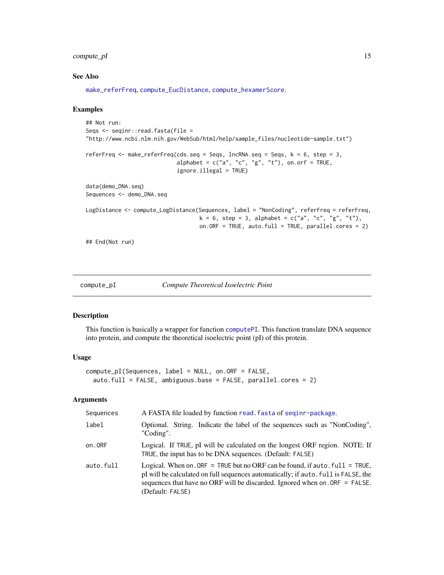## <span id="page-14-0"></span>compute\_pI 15

## See Also

[make\\_referFreq](#page-26-1), [compute\\_EucDistance](#page-5-1), [compute\\_hexamerScore](#page-9-1).

#### Examples

```
## Not run:
Seqs <- seqinr::read.fasta(file =
"http://www.ncbi.nlm.nih.gov/WebSub/html/help/sample_files/nucleotide-sample.txt")
referFreq <- make_referFreq(cds.seq = Seqs, lncRNA.seq = Seqs, k = 6, step = 3,
                            alphabet = c("a", "c", "g", "t"), on.orf = TRUE,
                            ignore.illegal = TRUE)
data(demo_DNA.seq)
Sequences <- demo_DNA.seq
LogDistance <- compute_LogDistance(Sequences, label = "NonCoding", referFreq = referFreq,
                                   k = 6, step = 3, alphabet = c("a", "c", "g", "t"),
                                   on.ORF = TRUE, auto.full = TRUE, parallel.cores = 2)
## End(Not run)
```

```
compute_pI Compute Theoretical Isoelectric Point
```
## Description

This function is basically a wrapper for function [computePI](#page-0-0). This function translate DNA sequence into protein, and compute the theoretical isoelectric point (pI) of this protein.

#### Usage

```
compute_pI(Sequences, label = NULL, on.ORF = FALSE,
  auto.full = FALSE, ambiguous.base = FALSE, parallel.cores = 2)
```

| Sequences | A FASTA file loaded by function read. fasta of seginr-package.                                                                                                                                                                                                            |
|-----------|---------------------------------------------------------------------------------------------------------------------------------------------------------------------------------------------------------------------------------------------------------------------------|
| label     | Optional. String. Indicate the label of the sequences such as "NonCoding",<br>"Coding".                                                                                                                                                                                   |
| on.ORF    | Logical. If TRUE, pI will be calculated on the longest ORF region. NOTE: If<br>TRUE, the input has to be DNA sequences. (Default: FALSE)                                                                                                                                  |
| auto.full | Logical. When on . ORF = TRUE but no ORF can be found, if auto . $full = TRUE$ ,<br>pI will be calculated on full sequences automatically; if auto, full is FALSE, the<br>sequences that have no ORF will be discarded. Ignored when on. ORF = FALSE.<br>(Default: FALSE) |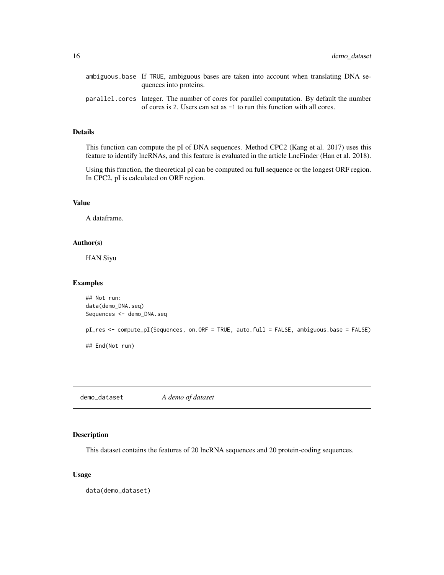<span id="page-15-0"></span>

| ambiguous base If TRUE, ambiguous bases are taken into account when translating DNA se-                                                                                   |
|---------------------------------------------------------------------------------------------------------------------------------------------------------------------------|
| quences into proteins.                                                                                                                                                    |
| parallel, cores Integer. The number of cores for parallel computation. By default the number<br>of cores is 2. Users can set as $-1$ to run this function with all cores. |

## Details

This function can compute the pI of DNA sequences. Method CPC2 (Kang et al. 2017) uses this feature to identify lncRNAs, and this feature is evaluated in the article LncFinder (Han et al. 2018).

Using this function, the theoretical pI can be computed on full sequence or the longest ORF region. In CPC2, pI is calculated on ORF region.

## Value

A dataframe.

#### Author(s)

HAN Siyu

## Examples

```
## Not run:
data(demo_DNA.seq)
Sequences <- demo_DNA.seq
pI_res <- compute_pI(Sequences, on.ORF = TRUE, auto.full = FALSE, ambiguous.base = FALSE)
## End(Not run)
```
demo\_dataset *A demo of dataset*

## Description

This dataset contains the features of 20 lncRNA sequences and 20 protein-coding sequences.

## Usage

data(demo\_dataset)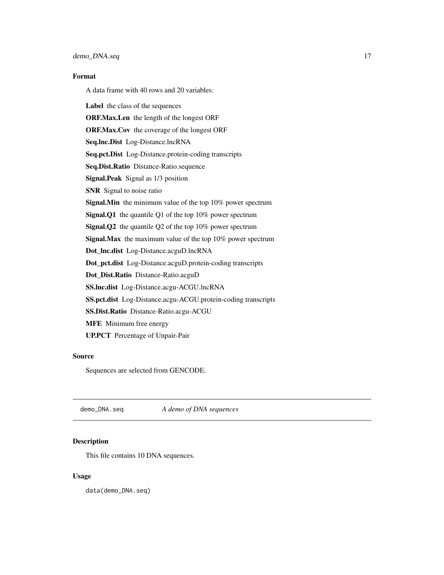## <span id="page-16-0"></span>Format

A data frame with 40 rows and 20 variables:

Label the class of the sequences ORF.Max.Len the length of the longest ORF ORF.Max.Cov the coverage of the longest ORF Seq.lnc.Dist Log-Distance.lncRNA Seq.pct.Dist Log-Distance.protein-coding transcripts Seq.Dist.Ratio Distance-Ratio.sequence Signal.Peak Signal as 1/3 position SNR Signal to noise ratio Signal.Min the minimum value of the top 10% power spectrum Signal.Q1 the quantile Q1 of the top 10% power spectrum Signal.Q2 the quantile Q2 of the top 10% power spectrum Signal.Max the maximum value of the top 10% power spectrum Dot\_lnc.dist Log-Distance.acguD.lncRNA Dot\_pct.dist Log-Distance.acguD.protein-coding transcripts Dot\_Dist.Ratio Distance-Ratio.acguD SS.lnc.dist Log-Distance.acgu-ACGU.lncRNA SS.pct.dist Log-Distance.acgu-ACGU.protein-coding transcripts SS.Dist.Ratio Distance-Ratio.acgu-ACGU MFE Minimum free energy UP.PCT Percentage of Unpair-Pair

#### Source

Sequences are selected from GENCODE.

demo\_DNA.seq *A demo of DNA sequences*

## Description

This file contains 10 DNA sequences.

#### Usage

data(demo\_DNA.seq)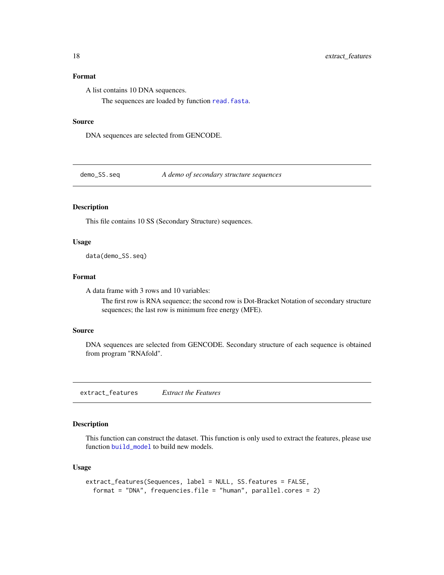## <span id="page-17-0"></span>Format

A list contains 10 DNA sequences.

The sequences are loaded by function [read.fasta](#page-0-0).

#### Source

DNA sequences are selected from GENCODE.

demo\_SS.seq *A demo of secondary structure sequences*

## Description

This file contains 10 SS (Secondary Structure) sequences.

## Usage

data(demo\_SS.seq)

## Format

A data frame with 3 rows and 10 variables:

The first row is RNA sequence; the second row is Dot-Bracket Notation of secondary structure sequences; the last row is minimum free energy (MFE).

## Source

DNA sequences are selected from GENCODE. Secondary structure of each sequence is obtained from program "RNAfold".

<span id="page-17-1"></span>extract\_features *Extract the Features*

## Description

This function can construct the dataset. This function is only used to extract the features, please use function [build\\_model](#page-1-1) to build new models.

## Usage

```
extract_features(Sequences, label = NULL, SS.features = FALSE,
  format = "DNA", frequencies.file = "human", parallel.cores = 2)
```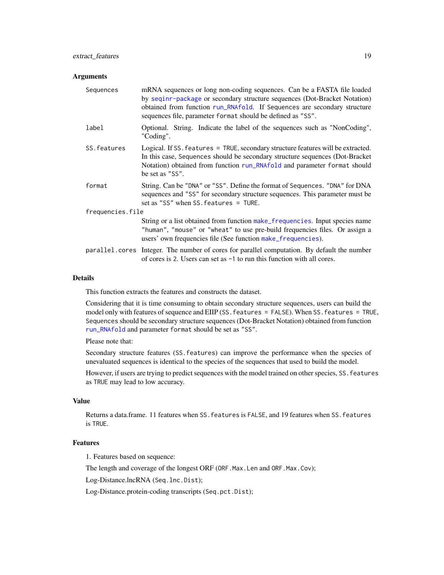#### <span id="page-18-0"></span>**Arguments**

| Sequences        | mRNA sequences or long non-coding sequences. Can be a FASTA file loaded<br>by seginr-package or secondary structure sequences (Dot-Bracket Notation)<br>obtained from function run_RNAfold. If Sequences are secondary structure<br>sequences file, parameter format should be defined as "SS". |
|------------------|-------------------------------------------------------------------------------------------------------------------------------------------------------------------------------------------------------------------------------------------------------------------------------------------------|
| label            | Optional. String. Indicate the label of the sequences such as "NonCoding",<br>"Coding".                                                                                                                                                                                                         |
| SS. features     | Logical. If SS. features = TRUE, secondary structure features will be extracted.<br>In this case, Sequences should be secondary structure sequences (Dot-Bracket<br>Notation) obtained from function run_RNAfold and parameter format should<br>be set as "SS".                                 |
| format           | String. Can be "DNA" or "SS". Define the format of Sequences. "DNA" for DNA<br>sequences and "SS" for secondary structure sequences. This parameter must be<br>set as "SS" when $SS$ . features = TURE.                                                                                         |
| frequencies.file |                                                                                                                                                                                                                                                                                                 |
|                  | String or a list obtained from function make_frequencies. Input species name<br>"human", "mouse" or "wheat" to use pre-build frequencies files. Or assign a<br>users' own frequencies file (See function make_frequencies).                                                                     |
|                  | parallel.cores Integer. The number of cores for parallel computation. By default the number<br>of cores is 2. Users can set as $-1$ to run this function with all cores.                                                                                                                        |

#### Details

This function extracts the features and constructs the dataset.

Considering that it is time consuming to obtain secondary structure sequences, users can build the model only with features of sequence and EIIP (SS. features = FALSE). When SS. features = TRUE, Sequences should be secondary structure sequences (Dot-Bracket Notation) obtained from function [run\\_RNAfold](#page-30-1) and parameter format should be set as "SS".

Please note that:

Secondary structure features (SS.features) can improve the performance when the species of unevaluated sequences is identical to the species of the sequences that used to build the model.

However, if users are trying to predict sequences with the model trained on other species, SS.features as TRUE may lead to low accuracy.

## Value

Returns a data.frame. 11 features when SS.features is FALSE, and 19 features when SS.features is TRUE.

## Features

1. Features based on sequence:

The length and coverage of the longest ORF (ORF.Max.Len and ORF.Max.Cov);

Log-Distance.lncRNA (Seq.lnc.Dist);

Log-Distance.protein-coding transcripts (Seq.pct.Dist);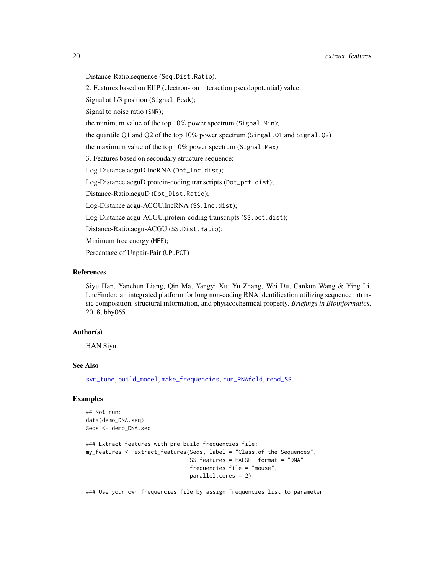<span id="page-19-0"></span>Distance-Ratio.sequence (Seq.Dist.Ratio).

2. Features based on EIIP (electron-ion interaction pseudopotential) value:

Signal at 1/3 position (Signal.Peak);

Signal to noise ratio (SNR);

the minimum value of the top 10% power spectrum (Signal.Min);

the quantile Q1 and Q2 of the top 10% power spectrum (Singal.Q1 and Signal.Q2)

the maximum value of the top 10% power spectrum (Signal.Max).

3. Features based on secondary structure sequence:

Log-Distance.acguD.lncRNA (Dot\_lnc.dist);

Log-Distance.acguD.protein-coding transcripts (Dot\_pct.dist);

Distance-Ratio.acguD (Dot\_Dist.Ratio);

Log-Distance.acgu-ACGU.lncRNA (SS.lnc.dist);

Log-Distance.acgu-ACGU.protein-coding transcripts (SS.pct.dist);

Distance-Ratio.acgu-ACGU (SS.Dist.Ratio);

Minimum free energy (MFE);

Percentage of Unpair-Pair (UP.PCT)

## References

Siyu Han, Yanchun Liang, Qin Ma, Yangyi Xu, Yu Zhang, Wei Du, Cankun Wang & Ying Li. LncFinder: an integrated platform for long non-coding RNA identification utilizing sequence intrinsic composition, structural information, and physicochemical property. *Briefings in Bioinformatics*, 2018, bby065.

## Author(s)

HAN Siyu

#### See Also

[svm\\_tune](#page-33-1), [build\\_model](#page-1-1), [make\\_frequencies](#page-23-1), [run\\_RNAfold](#page-30-1), [read\\_SS](#page-28-1).

## Examples

```
## Not run:
data(demo_DNA.seq)
Seqs <- demo_DNA.seq
```

```
### Extract features with pre-build frequencies.file:
my_features <- extract_features(Seqs, label = "Class.of.the.Sequences",
                                SS.features = FALSE, format = "DNA",
                                frequencies.file = "mouse",
                                parallel.cores = 2)
```
### Use your own frequencies file by assign frequencies list to parameter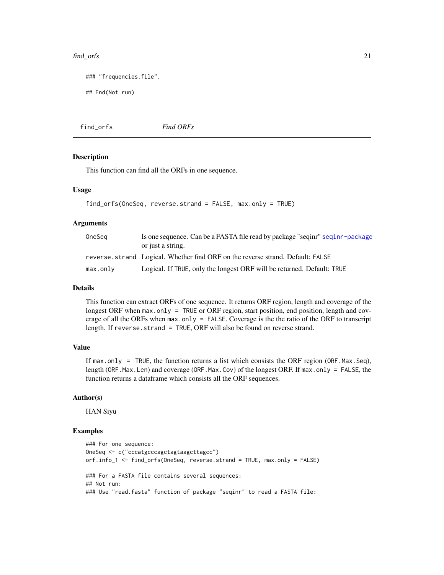#### <span id="page-20-0"></span>find\_orfs 21

```
### "frequencies.file".
```
## End(Not run)

find\_orfs *Find ORFs*

#### Description

This function can find all the ORFs in one sequence.

### Usage

```
find_orfs(OneSeq, reverse.strand = FALSE, max.only = TRUE)
```
## Arguments

| OneSeg   | Is one sequence. Can be a FASTA file read by package "seqinr" seqinr-package    |
|----------|---------------------------------------------------------------------------------|
|          | or just a string.                                                               |
|          | reverse, strand Logical, Whether find ORF on the reverse strand. Default: FALSE |
| max.only | Logical. If TRUE, only the longest ORF will be returned. Default: TRUE          |

#### Details

This function can extract ORFs of one sequence. It returns ORF region, length and coverage of the longest ORF when max.only = TRUE or ORF region, start position, end position, length and coverage of all the ORFs when max.only = FALSE. Coverage is the the ratio of the ORF to transcript length. If reverse.strand = TRUE, ORF will also be found on reverse strand.

## Value

If max.only = TRUE, the function returns a list which consists the ORF region (ORF. Max. Seq), length (ORF.Max.Len) and coverage (ORF.Max.Cov) of the longest ORF. If max.only = FALSE, the function returns a dataframe which consists all the ORF sequences.

#### Author(s)

HAN Siyu

## Examples

```
### For one sequence:
OneSeq <- c("cccatgcccagctagtaagcttagcc")
orf.info_1 <- find_orfs(OneSeq, reverse.strand = TRUE, max.only = FALSE)
### For a FASTA file contains several sequences:
## Not run:
### Use "read.fasta" function of package "seqinr" to read a FASTA file:
```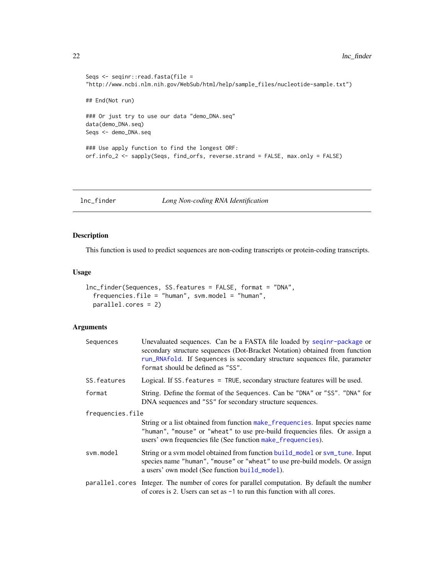```
Seqs <- seqinr::read.fasta(file =
"http://www.ncbi.nlm.nih.gov/WebSub/html/help/sample_files/nucleotide-sample.txt")
## End(Not run)
### Or just try to use our data "demo_DNA.seq"
data(demo_DNA.seq)
Seqs <- demo_DNA.seq
### Use apply function to find the longest ORF:
orf.info_2 <- sapply(Seqs, find_orfs, reverse.strand = FALSE, max.only = FALSE)
```
<span id="page-21-1"></span>lnc\_finder *Long Non-coding RNA Identification*

## Description

This function is used to predict sequences are non-coding transcripts or protein-coding transcripts.

## Usage

```
lnc_finder(Sequences, SS.features = FALSE, format = "DNA",
  frequencies.file = "human", svm.model = "human",
 parallel.cores = 2)
```

| Sequences        | Unevaluated sequences. Can be a FASTA file loaded by seqinr-package or<br>secondary structure sequences (Dot-Bracket Notation) obtained from function<br>run_RNAfold. If Sequences is secondary structure sequences file, parameter<br>format should be defined as "SS". |  |  |  |  |
|------------------|--------------------------------------------------------------------------------------------------------------------------------------------------------------------------------------------------------------------------------------------------------------------------|--|--|--|--|
| SS. features     | Logical. If SS. features = TRUE, secondary structure features will be used.                                                                                                                                                                                              |  |  |  |  |
| format           | String. Define the format of the Sequences. Can be "DNA" or "SS". "DNA" for<br>DNA sequences and "SS" for secondary structure sequences.                                                                                                                                 |  |  |  |  |
| frequencies.file |                                                                                                                                                                                                                                                                          |  |  |  |  |
|                  | String or a list obtained from function make_frequencies. Input species name<br>"human", "mouse" or "wheat" to use pre-build frequencies files. Or assign a<br>users' own frequencies file (See function make_frequencies).                                              |  |  |  |  |
| svm.model        | String or a sym model obtained from function build_model or sym_tune. Input<br>species name "human", "mouse" or "wheat" to use pre-build models. Or assign<br>a users' own model (See function build_model).                                                             |  |  |  |  |
|                  | parallel.cores Integer. The number of cores for parallel computation. By default the number<br>of cores is 2. Users can set as $-1$ to run this function with all cores.                                                                                                 |  |  |  |  |

<span id="page-21-0"></span>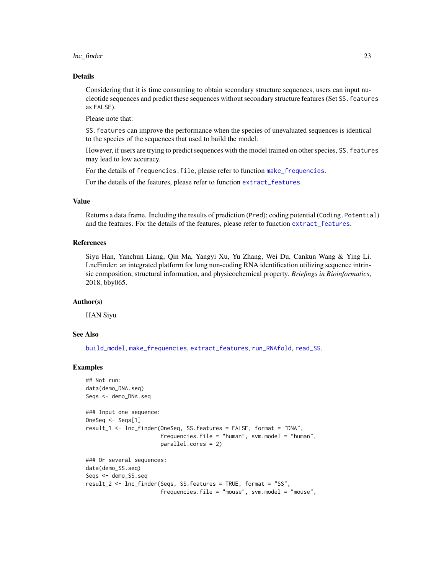#### <span id="page-22-0"></span>lnc\_finder 23

#### Details

Considering that it is time consuming to obtain secondary structure sequences, users can input nucleotide sequences and predict these sequences without secondary structure features (Set SS.features as FALSE).

Please note that:

SS.features can improve the performance when the species of unevaluated sequences is identical to the species of the sequences that used to build the model.

However, if users are trying to predict sequences with the model trained on other species, SS.features may lead to low accuracy.

For the details of frequencies.file, please refer to function [make\\_frequencies](#page-23-1).

For the details of the features, please refer to function [extract\\_features](#page-17-1).

#### Value

Returns a data.frame. Including the results of prediction (Pred); coding potential (Coding.Potential) and the features. For the details of the features, please refer to function [extract\\_features](#page-17-1).

#### References

Siyu Han, Yanchun Liang, Qin Ma, Yangyi Xu, Yu Zhang, Wei Du, Cankun Wang & Ying Li. LncFinder: an integrated platform for long non-coding RNA identification utilizing sequence intrinsic composition, structural information, and physicochemical property. *Briefings in Bioinformatics*, 2018, bby065.

### Author(s)

HAN Siyu

## See Also

[build\\_model](#page-1-1), [make\\_frequencies](#page-23-1), [extract\\_features](#page-17-1), [run\\_RNAfold](#page-30-1), [read\\_SS](#page-28-1).

#### Examples

```
## Not run:
data(demo_DNA.seq)
Seqs <- demo_DNA.seq
### Input one sequence:
OneSeq <- Seqs[1]
result_1 <- lnc_finder(OneSeq, SS.features = FALSE, format = "DNA",
                       frequencies.file = "human", svm.model = "human",
                       parallel.cores = 2)
### Or several sequences:
data(demo_SS.seq)
Seqs <- demo_SS.seq
result_2 <- lnc_finder(Seqs, SS.features = TRUE, format = "SS",
                       frequencies.file = "mouse", svm.model = "mouse",
```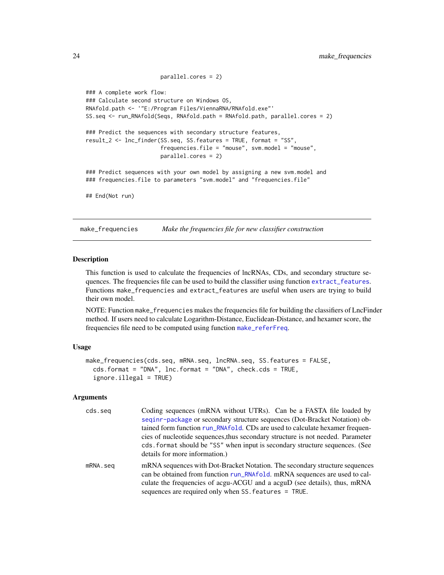```
parallel.cores = 2)
### A complete work flow:
### Calculate second structure on Windows OS,
RNAfold.path <- '"E:/Program Files/ViennaRNA/RNAfold.exe"'
SS.seq <- run_RNAfold(Seqs, RNAfold.path = RNAfold.path, parallel.cores = 2)
### Predict the sequences with secondary structure features,
result_2 <- lnc_finder(SS.seq, SS.features = TRUE, format = "SS",
                       frequencies.file = "mouse", svm.model = "mouse",
                       parallel.cores = 2)
### Predict sequences with your own model by assigning a new svm.model and
### frequencies.file to parameters "svm.model" and "frequencies.file"
## End(Not run)
```
<span id="page-23-1"></span>make\_frequencies *Make the frequencies file for new classifier construction*

#### **Description**

This function is used to calculate the frequencies of lncRNAs, CDs, and secondary structure sequences. The frequencies file can be used to build the classifier using function [extract\\_features](#page-17-1). Functions make\_frequencies and extract\_features are useful when users are trying to build their own model.

NOTE: Function make\_frequencies makes the frequencies file for building the classifiers of LncFinder method. If users need to calculate Logarithm-Distance, Euclidean-Distance, and hexamer score, the frequencies file need to be computed using function [make\\_referFreq](#page-26-1).

#### Usage

```
make_frequencies(cds.seq, mRNA.seq, lncRNA.seq, SS.features = FALSE,
  cds.format = "DNA", lnc.format = "DNA", check.cds = TRUE,
  ignore.illegal = TRUE)
```

| cds.seg  | Coding sequences (mRNA without UTRs). Can be a FASTA file loaded by<br>seginr-package or secondary structure sequences (Dot-Bracket Notation) ob-<br>tained form function run_RNAfold. CDs are used to calculate hexamer frequen-<br>cies of nucleotide sequences, thus secondary structure is not needed. Parameter<br>cds. format should be "SS" when input is secondary structure sequences. (See<br>details for more information.) |
|----------|----------------------------------------------------------------------------------------------------------------------------------------------------------------------------------------------------------------------------------------------------------------------------------------------------------------------------------------------------------------------------------------------------------------------------------------|
| mRNA.seg | mRNA sequences with Dot-Bracket Notation. The secondary structure sequences<br>can be obtained from function run_RNAfold. mRNA sequences are used to cal-<br>culate the frequencies of acgu-ACGU and a acguD (see details), thus, mRNA<br>sequences are required only when SS. features = TRUE.                                                                                                                                        |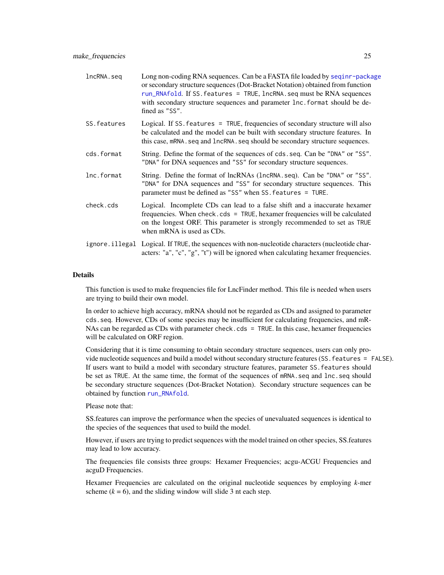| lncRNA.seg   | Long non-coding RNA sequences. Can be a FASTA file loaded by sequal package<br>or secondary structure sequences (Dot-Bracket Notation) obtained from function<br>run_RNAfold. If SS. features = TRUE, lncRNA. seq must be RNA sequences<br>with secondary structure sequences and parameter lnc. format should be de-<br>fined as "SS". |
|--------------|-----------------------------------------------------------------------------------------------------------------------------------------------------------------------------------------------------------------------------------------------------------------------------------------------------------------------------------------|
| SS. features | Logical. If SS. features = TRUE, frequencies of secondary structure will also<br>be calculated and the model can be built with secondary structure features. In<br>this case, mRNA. seq and lncRNA. seq should be secondary structure sequences.                                                                                        |
| cds.format   | String. Define the format of the sequences of cds. seq. Can be "DNA" or "SS".<br>"DNA" for DNA sequences and "SS" for secondary structure sequences.                                                                                                                                                                                    |
| lnc.format   | String. Define the format of lncRNAs (lncRNA.seq). Can be "DNA" or "SS".<br>"DNA" for DNA sequences and "SS" for secondary structure sequences. This<br>parameter must be defined as "SS" when SS. features = TURE.                                                                                                                     |
| check.cds    | Logical. Incomplete CDs can lead to a false shift and a inaccurate hexamer<br>frequencies. When check.cds = $TRUE$ , hexamer frequencies will be calculated<br>on the longest ORF. This parameter is strongly recommended to set as TRUE<br>when mRNA is used as CDs.                                                                   |
|              | ignore. illegal Logical. If TRUE, the sequences with non-nucleotide characters (nucleotide char-<br>acters: "a", "c", "g", "t") will be ignored when calculating hexamer frequencies.                                                                                                                                                   |

## Details

This function is used to make frequencies file for LncFinder method. This file is needed when users are trying to build their own model.

In order to achieve high accuracy, mRNA should not be regarded as CDs and assigned to parameter cds.seq. However, CDs of some species may be insufficient for calculating frequencies, and mR-NAs can be regarded as CDs with parameter check.cds = TRUE. In this case, hexamer frequencies will be calculated on ORF region.

Considering that it is time consuming to obtain secondary structure sequences, users can only provide nucleotide sequences and build a model without secondary structure features (SS.features = FALSE). If users want to build a model with secondary structure features, parameter SS.features should be set as TRUE. At the same time, the format of the sequences of mRNA. seq and lnc. seq should be secondary structure sequences (Dot-Bracket Notation). Secondary structure sequences can be obtained by function [run\\_RNAfold](#page-30-1).

#### Please note that:

SS.features can improve the performance when the species of unevaluated sequences is identical to the species of the sequences that used to build the model.

However, if users are trying to predict sequences with the model trained on other species, SS.features may lead to low accuracy.

The frequencies file consists three groups: Hexamer Frequencies; acgu-ACGU Frequencies and acguD Frequencies.

Hexamer Frequencies are calculated on the original nucleotide sequences by employing *k*-mer scheme  $(k = 6)$ , and the sliding window will slide 3 nt each step.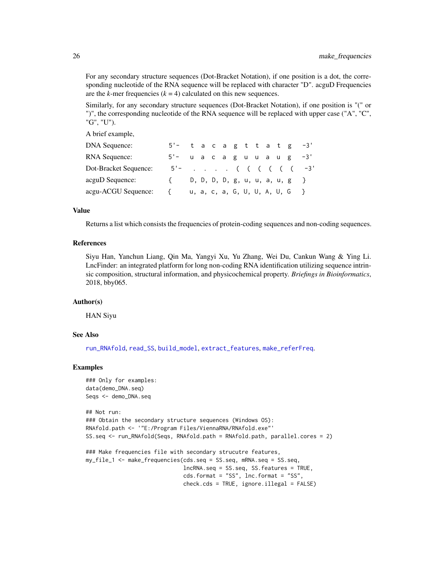For any secondary structure sequences (Dot-Bracket Notation), if one position is a dot, the corresponding nucleotide of the RNA sequence will be replaced with character "D". acguD Frequencies are the *k*-mer frequencies  $(k = 4)$  calculated on this new sequences.

Similarly, for any secondary structure sequences (Dot-Bracket Notation), if one position is "(" or ")", the corresponding nucleotide of the RNA sequence will be replaced with upper case ("A", "C", "G", "U").

A brief example,

| <b>DNA Sequence:</b>  | $5'-$ tacagttatg $-3'$     |  |  |  |  |                                |                   |
|-----------------------|----------------------------|--|--|--|--|--------------------------------|-------------------|
| <b>RNA Sequence:</b>  | $5'$ - u a c a g u u a u g |  |  |  |  |                                | $-3'$             |
| Dot-Bracket Sequence: | $5' -$                     |  |  |  |  |                                | . ( ( ( ( ( ( -3' |
| acguD Sequence:       |                            |  |  |  |  | D, D, D, D, g, u, u, a, u, g } |                   |
| acgu-ACGU Sequence:   | ₹                          |  |  |  |  | u, a, c, a, G, U, U, A, U, G } |                   |

#### Value

Returns a list which consists the frequencies of protein-coding sequences and non-coding sequences.

#### References

Siyu Han, Yanchun Liang, Qin Ma, Yangyi Xu, Yu Zhang, Wei Du, Cankun Wang & Ying Li. LncFinder: an integrated platform for long non-coding RNA identification utilizing sequence intrinsic composition, structural information, and physicochemical property. *Briefings in Bioinformatics*, 2018, bby065.

#### Author(s)

HAN Siyu

#### See Also

[run\\_RNAfold](#page-30-1), [read\\_SS](#page-28-1), [build\\_model](#page-1-1), [extract\\_features](#page-17-1), [make\\_referFreq](#page-26-1).

#### Examples

```
### Only for examples:
data(demo_DNA.seq)
Seqs <- demo_DNA.seq
```

```
## Not run:
### Obtain the secondary structure sequences (Windows OS):
RNAfold.path <- '"E:/Program Files/ViennaRNA/RNAfold.exe"'
SS.seq <- run_RNAfold(Seqs, RNAfold.path = RNAfold.path, parallel.cores = 2)
### Make frequencies file with secondary strucutre features,
```

```
my_file_1 <- make_frequencies(cds.seq = SS.seq, mRNA.seq = SS.seq,
                              lncRNA.seq = SS.seq, SS.features = TRUE,
                              cds.format = "SS", lnc.format = "SS",
                              check.cds = TRUE, ignore.illegal = FALSE)
```
<span id="page-25-0"></span>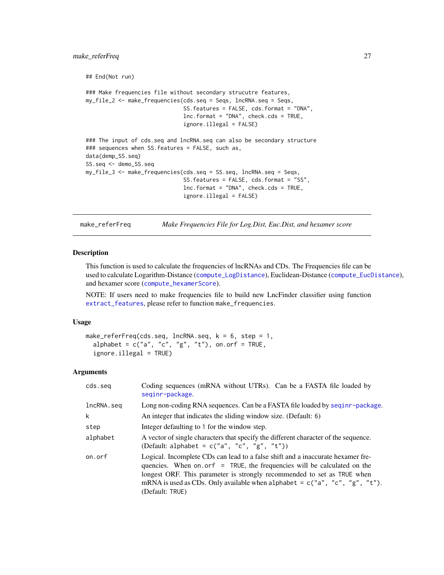```
## End(Not run)
### Make frequencies file without secondary strucutre features,
my_file_2 <- make_frequencies(cds.seq = Seqs, lncRNA.seq = Seqs,
                              SS.features = FALSE, cds.format = "DNA",
                              lnc.format = "DNA", check.cds = TRUE,
                              ignore.illegal = FALSE)
### The input of cds.seq and lncRNA.seq can also be secondary structure
### sequences when SS.features = FALSE, such as,
data(demp_SS.seq)
SS.seq <- demo_SS.seq
my_file_3 <- make_frequencies(cds.seq = SS.seq, lncRNA.seq = Seqs,
                              SS.features = FALSE, cds.format = "SS",
                              lnc.format = "DNA", check.cds = TRUE,
                              ignore.illegal = FALSE)
```
<span id="page-26-1"></span>make\_referFreq *Make Frequencies File for Log.Dist, Euc.Dist, and hexamer score*

#### **Description**

This function is used to calculate the frequencies of lncRNAs and CDs. The Frequencies file can be used to calculate Logarithm-Distance ([compute\\_LogDistance](#page-12-1)), Euclidean-Distance ([compute\\_EucDistance](#page-5-1)), and hexamer score ([compute\\_hexamerScore](#page-9-1)).

NOTE: If users need to make frequencies file to build new LncFinder classifier using function [extract\\_features](#page-17-1), please refer to function make\_frequencies.

## Usage

```
make_referFreq(cds.seq, lncRNA.seq, k = 6, step = 1,
  alphabet = c("a", "c", "g", "t"), on.orf = TRUE,
  ignore.illegal = TRUE)
```

| cds.seg    | Coding sequences (mRNA without UTRs). Can be a FASTA file loaded by<br>seginr-package.                                                                                                                                                                                                                                                       |  |  |  |  |  |  |
|------------|----------------------------------------------------------------------------------------------------------------------------------------------------------------------------------------------------------------------------------------------------------------------------------------------------------------------------------------------|--|--|--|--|--|--|
| lncRNA.seq | Long non-coding RNA sequences. Can be a FASTA file loaded by seqinr-package.                                                                                                                                                                                                                                                                 |  |  |  |  |  |  |
| k          | An integer that indicates the sliding window size. (Default: 6)                                                                                                                                                                                                                                                                              |  |  |  |  |  |  |
| step       | Integer defaulting to 1 for the window step.                                                                                                                                                                                                                                                                                                 |  |  |  |  |  |  |
| alphabet   | A vector of single characters that specify the different character of the sequence.<br>(Default: alphabet = $c("a", "c", "g", "t"))$ )                                                                                                                                                                                                       |  |  |  |  |  |  |
| on.orf     | Logical. Incomplete CDs can lead to a false shift and a inaccurate hexamer fre-<br>quencies. When on or $f = TRUE$ , the frequencies will be calculated on the<br>longest ORF. This parameter is strongly recommended to set as TRUE when<br>mRNA is used as CDs. Only available when alphabet = $c("a", "c", "g", "t").$<br>(Default: TRUE) |  |  |  |  |  |  |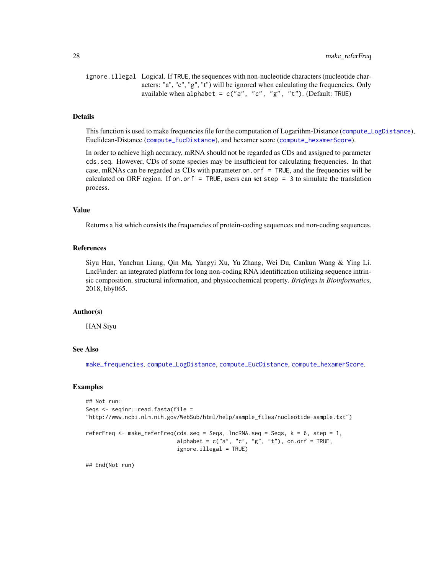<span id="page-27-0"></span>28 make\_referFreq

ignore.illegal Logical. If TRUE, the sequences with non-nucleotide characters (nucleotide characters: "a", "c", "g", "t") will be ignored when calculating the frequencies. Only available when alphabet =  $c("a", "c", "g", "t").$  (Default: TRUE)

#### Details

This function is used to make frequencies file for the computation of Logarithm-Distance ([compute\\_LogDistance](#page-12-1)), Euclidean-Distance ([compute\\_EucDistance](#page-5-1)), and hexamer score ([compute\\_hexamerScore](#page-9-1)).

In order to achieve high accuracy, mRNA should not be regarded as CDs and assigned to parameter cds.seq. However, CDs of some species may be insufficient for calculating frequencies. In that case, mRNAs can be regarded as CDs with parameter on. or  $f = TRUE$ , and the frequencies will be calculated on ORF region. If on.orf = TRUE, users can set step =  $3$  to simulate the translation process.

#### Value

Returns a list which consists the frequencies of protein-coding sequences and non-coding sequences.

## References

Siyu Han, Yanchun Liang, Qin Ma, Yangyi Xu, Yu Zhang, Wei Du, Cankun Wang & Ying Li. LncFinder: an integrated platform for long non-coding RNA identification utilizing sequence intrinsic composition, structural information, and physicochemical property. *Briefings in Bioinformatics*, 2018, bby065.

#### Author(s)

HAN Siyu

## See Also

[make\\_frequencies](#page-23-1), [compute\\_LogDistance](#page-12-1), [compute\\_EucDistance](#page-5-1), [compute\\_hexamerScore](#page-9-1).

#### Examples

```
## Not run:
Seqs <- seqinr::read.fasta(file =
"http://www.ncbi.nlm.nih.gov/WebSub/html/help/sample_files/nucleotide-sample.txt")
referFreq \leq make_referFreq(cds.seq = Seqs, lncRNA.seq = Seqs, k = 6, step = 1,
                            alphabet = c("a", "c", "g", "t"), on.on.orf = TRUE,
                            ignore.illegal = TRUE)
```
## End(Not run)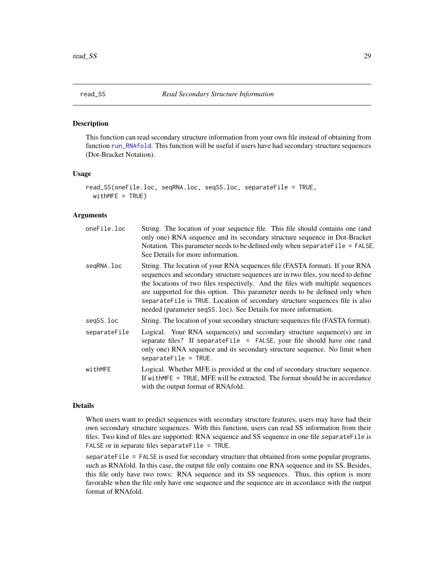<span id="page-28-1"></span><span id="page-28-0"></span>

## **Description**

This function can read secondary structure information from your own file instead of obtaining from function [run\\_RNAfold](#page-30-1). This function will be useful if users have had secondary structure sequences (Dot-Bracket Notation).

#### Usage

```
read_SS(oneFile.loc, seqRNA.loc, seqSS.loc, separateFile = TRUE,
 widthME = TRUE)
```
## Arguments

| oneFile.loc  | String. The location of your sequence file. This file should contains one (and<br>only one) RNA sequence and its secondary structure sequence in Dot-Bracket<br>Notation. This parameter needs to be defined only when separate File = FALSE.<br>See Details for more information.                                                                                                                                                                                                  |
|--------------|-------------------------------------------------------------------------------------------------------------------------------------------------------------------------------------------------------------------------------------------------------------------------------------------------------------------------------------------------------------------------------------------------------------------------------------------------------------------------------------|
| segRNA.loc   | String. The location of your RNA sequences file (FASTA format). If your RNA<br>sequences and secondary structure sequences are in two files, you need to define<br>the locations of two files respectively. And the files with multiple sequences<br>are supported for this option. This parameter needs to be defined only when<br>separateFile is TRUE. Location of secondary structure sequences file is also<br>needed (parameter seqSS.loc). See Details for more information. |
| segSS.loc    | String. The location of your secondary structure sequences file (FASTA format).                                                                                                                                                                                                                                                                                                                                                                                                     |
| separateFile | Logical. Your RNA sequence(s) and secondary structure sequence(s) are in<br>separate files? If separate File = FALSE, your file should have one (and<br>only one) RNA sequence and its secondary structure sequence. No limit when<br>$separateFile = TRUE.$                                                                                                                                                                                                                        |
| withMFE      | Logical. Whether MFE is provided at the end of secondary structure sequence.<br>If $withMFE = TRUE$ , MFE will be extracted. The format should be in accordance<br>with the output format of RNAfold.                                                                                                                                                                                                                                                                               |

#### Details

When users want to predict sequences with secondary structure features, users may have had their own secondary structure sequences. With this function, users can read SS information from their files. Two kind of files are supported: RNA sequence and SS sequence in one file separateFile is FALSE or in separate files separateFile = TRUE.

separateFile = FALSE is used for secondary structure that obtained from some popular programs, such as RNAfold. In this case, the output file only contains one RNA sequence and its SS. Besides, this file only have two rows: RNA sequence and its SS sequences. Thus, this option is more favorable when the file only have one sequence and the sequence are in accordance with the output format of RNAfold.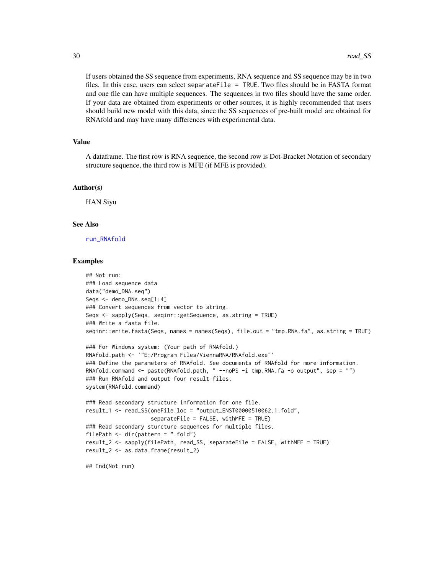If users obtained the SS sequence from experiments, RNA sequence and SS sequence may be in two files. In this case, users can select separateFile = TRUE. Two files should be in FASTA format and one file can have multiple sequences. The sequences in two files should have the same order. If your data are obtained from experiments or other sources, it is highly recommended that users should build new model with this data, since the SS sequences of pre-built model are obtained for RNAfold and may have many differences with experimental data.

#### Value

A dataframe. The first row is RNA sequence, the second row is Dot-Bracket Notation of secondary structure sequence, the third row is MFE (if MFE is provided).

#### Author(s)

HAN Siyu

#### See Also

[run\\_RNAfold](#page-30-1)

#### Examples

```
## Not run:
### Load sequence data
data("demo_DNA.seq")
Seqs <- demo_DNA.seq[1:4]
### Convert sequences from vector to string.
Seqs <- sapply(Seqs, seqinr::getSequence, as.string = TRUE)
### Write a fasta file.
seqinr::write.fasta(Seqs, names = names(Seqs), file.out = "tmp.RNA.fa", as.string = TRUE)
### For Windows system: (Your path of RNAfold.)
RNAfold.path <- '"E:/Program Files/ViennaRNA/RNAfold.exe"'
### Define the parameters of RNAfold. See documents of RNAfold for more information.
RNAfold.command <- paste(RNAfold.path, " --noPS -i tmp.RNA.fa -o output", sep = "")
### Run RNAfold and output four result files.
system(RNAfold.command)
### Read secondary structure information for one file.
result_1 <- read_SS(oneFile.loc = "output_ENST00000510062.1.fold",
                    separateFile = FALSE, withMFE = TRUE)
### Read secondary sturcture sequences for multiple files.
filePath <- dir(pattern = ".fold")
result_2 <- sapply(filePath, read_SS, separateFile = FALSE, withMFE = TRUE)
result_2 <- as.data.frame(result_2)
## End(Not run)
```
<span id="page-29-0"></span>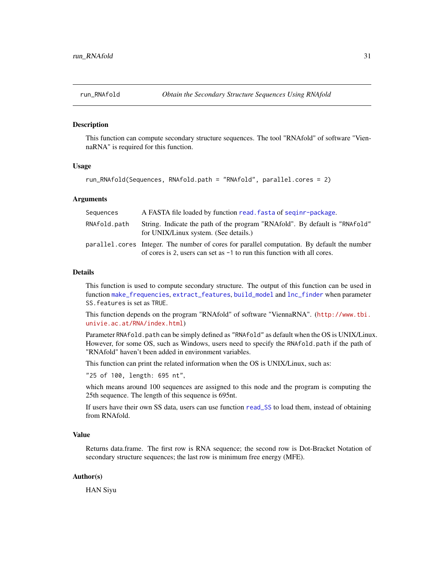#### <span id="page-30-1"></span><span id="page-30-0"></span>**Description**

This function can compute secondary structure sequences. The tool "RNAfold" of software "ViennaRNA" is required for this function.

#### Usage

```
run_RNAfold(Sequences, RNAfold.path = "RNAfold", parallel.cores = 2)
```
### Arguments

| Sequences    | A FASTA file loaded by function read. fasta of seqinr-package.                                                                                                          |
|--------------|-------------------------------------------------------------------------------------------------------------------------------------------------------------------------|
| RNAfold.path | String. Indicate the path of the program "RNAfold". By default is "RNAfold"<br>for UNIX/Linux system. (See details.)                                                    |
|              | parallel, cores Integer. The number of cores for parallel computation. By default the number<br>of cores is 2, users can set as -1 to run this function with all cores. |

#### Details

This function is used to compute secondary structure. The output of this function can be used in function [make\\_frequencies](#page-23-1), [extract\\_features](#page-17-1), [build\\_model](#page-1-1) and [lnc\\_finder](#page-21-1) when parameter SS.features is set as TRUE.

This function depends on the program "RNAfold" of software "ViennaRNA". ([http://www.tbi.](http://www.tbi.univie.ac.at/RNA/index.html) [univie.ac.at/RNA/index.html](http://www.tbi.univie.ac.at/RNA/index.html))

Parameter RNAfold.path can be simply defined as "RNAfold" as default when the OS is UNIX/Linux. However, for some OS, such as Windows, users need to specify the RNAfold.path if the path of "RNAfold" haven't been added in environment variables.

This function can print the related information when the OS is UNIX/Linux, such as:

"25 of 100, length: 695 nt",

which means around 100 sequences are assigned to this node and the program is computing the 25th sequence. The length of this sequence is 695nt.

If users have their own SS data, users can use function [read\\_SS](#page-28-1) to load them, instead of obtaining from RNAfold.

#### Value

Returns data.frame. The first row is RNA sequence; the second row is Dot-Bracket Notation of secondary structure sequences; the last row is minimum free energy (MFE).

#### Author(s)

HAN Siyu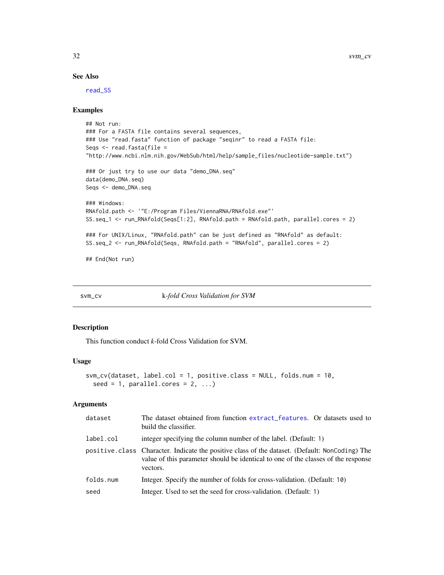#### See Also

[read\\_SS](#page-28-1)

## Examples

```
## Not run:
### For a FASTA file contains several sequences,
### Use "read.fasta" function of package "seqinr" to read a FASTA file:
Seqs <- read.fasta(file =
"http://www.ncbi.nlm.nih.gov/WebSub/html/help/sample_files/nucleotide-sample.txt")
### Or just try to use our data "demo_DNA.seq"
data(demo_DNA.seq)
Seqs <- demo_DNA.seq
### Windows:
RNAfold.path <- '"E:/Program Files/ViennaRNA/RNAfold.exe"'
SS.seq_1 <- run_RNAfold(Seqs[1:2], RNAfold.path = RNAfold.path, parallel.cores = 2)
### For UNIX/Linux, "RNAfold.path" can be just defined as "RNAfold" as default:
SS.seq_2 <- run_RNAfold(Seqs, RNAfold.path = "RNAfold", parallel.cores = 2)
## End(Not run)
```

```
svm_cv k-fold Cross Validation for SVM
```
## Description

This function conduct *k*-fold Cross Validation for SVM.

#### Usage

```
svm_cv(dataset, label.col = 1, positive.class = NULL, folds.num = 10,
 seed = 1, parallel.cores = 2, ...)
```

| dataset   | The dataset obtained from function extract_features. Or datasets used to<br>build the classifier.                                                                                               |
|-----------|-------------------------------------------------------------------------------------------------------------------------------------------------------------------------------------------------|
| label.col | integer specifying the column number of the label. (Default: 1)                                                                                                                                 |
|           | positive class Character. Indicate the positive class of the dataset. (Default: NonCoding) The<br>value of this parameter should be identical to one of the classes of the response<br>vectors. |
| folds.num | Integer. Specify the number of folds for cross-validation. (Default: 10)                                                                                                                        |
| seed      | Integer. Used to set the seed for cross-validation. (Default: 1)                                                                                                                                |

<span id="page-31-0"></span>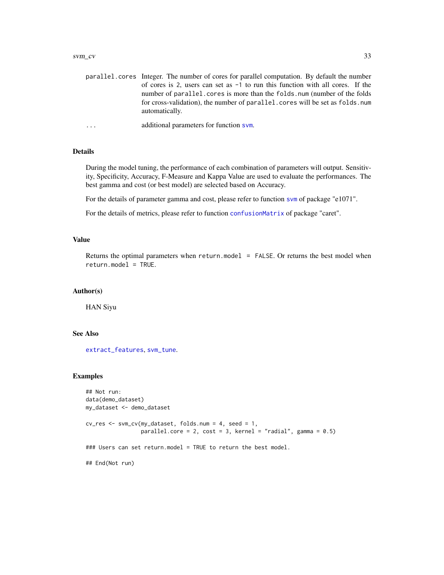#### <span id="page-32-0"></span> $svm\_cv$  33

| parallel, cores Integer. The number of cores for parallel computation. By default the number     |
|--------------------------------------------------------------------------------------------------|
| of cores is 2, users can set as $-1$ to run this function with all cores. If the                 |
| number of parallel. cores is more than the folds. num (number of the folds                       |
| for cross-validation), the number of parallel, cores will be set as folds, num<br>automatically. |
|                                                                                                  |

```
... additional parameters for function svm.
```
## Details

During the model tuning, the performance of each combination of parameters will output. Sensitivity, Specificity, Accuracy, F-Measure and Kappa Value are used to evaluate the performances. The best gamma and cost (or best model) are selected based on Accuracy.

For the details of parameter gamma and cost, please refer to function [svm](#page-0-0) of package "e1071".

For the details of metrics, please refer to function [confusionMatrix](#page-0-0) of package "caret".

## Value

Returns the optimal parameters when return.model = FALSE. Or returns the best model when return.model = TRUE.

#### Author(s)

HAN Siyu

#### See Also

[extract\\_features](#page-17-1), [svm\\_tune](#page-33-1).

## Examples

```
## Not run:
data(demo_dataset)
my_dataset <- demo_dataset
cv_res <- svm_cv(my_dataset, folds.num = 4, seed = 1,
                 parallel.core = 2, cost = 3, kernel = "radial", gamma = 0.5)
### Users can set return.model = TRUE to return the best model.
## End(Not run)
```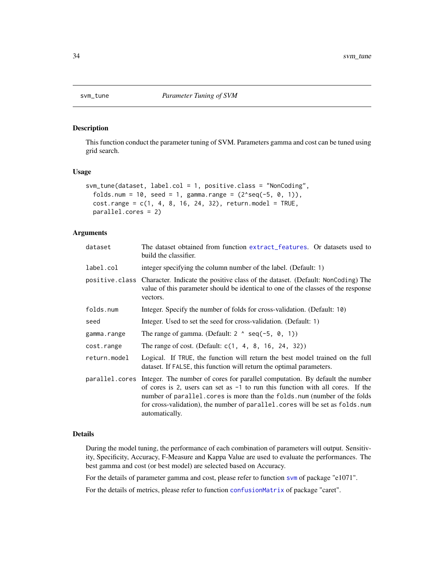<span id="page-33-1"></span><span id="page-33-0"></span>

## Description

This function conduct the parameter tuning of SVM. Parameters gamma and cost can be tuned using grid search.

## Usage

```
svm_tune(dataset, label.col = 1, positive.class = "NonCoding",
  folds.num = 10, seed = 1, gamma.range = (2 \text{ }8)g(-5, 0, 1)),
  cost.random = c(1, 4, 8, 16, 24, 32), return.model = TRUE,
  parallel.cores = 2)
```
## Arguments

| dataset      | The dataset obtained from function extract_features. Or datasets used to<br>build the classifier.                                                                                                                                                                                                                                                                 |  |  |  |  |  |  |
|--------------|-------------------------------------------------------------------------------------------------------------------------------------------------------------------------------------------------------------------------------------------------------------------------------------------------------------------------------------------------------------------|--|--|--|--|--|--|
| label.col    | integer specifying the column number of the label. (Default: 1)                                                                                                                                                                                                                                                                                                   |  |  |  |  |  |  |
|              | positive class Character. Indicate the positive class of the dataset. (Default: NonCoding) The<br>value of this parameter should be identical to one of the classes of the response<br>vectors.                                                                                                                                                                   |  |  |  |  |  |  |
| folds.num    | Integer. Specify the number of folds for cross-validation. (Default: 10)                                                                                                                                                                                                                                                                                          |  |  |  |  |  |  |
| seed         | Integer. Used to set the seed for cross-validation. (Default: 1)                                                                                                                                                                                                                                                                                                  |  |  |  |  |  |  |
| gamma.range  | The range of gamma. (Default: $2 \land \text{seq}(-5, 0, 1)$ )                                                                                                                                                                                                                                                                                                    |  |  |  |  |  |  |
| cost.range   | The range of cost. (Default: $c(1, 4, 8, 16, 24, 32)$ )                                                                                                                                                                                                                                                                                                           |  |  |  |  |  |  |
| return.model | Logical. If TRUE, the function will return the best model trained on the full<br>dataset. If FALSE, this function will return the optimal parameters.                                                                                                                                                                                                             |  |  |  |  |  |  |
|              | parallel.cores Integer. The number of cores for parallel computation. By default the number<br>of cores is 2, users can set as $-1$ to run this function with all cores. If the<br>number of parallel. cores is more than the folds. num (number of the folds<br>for cross-validation), the number of parallel. cores will be set as folds. num<br>automatically. |  |  |  |  |  |  |

## Details

During the model tuning, the performance of each combination of parameters will output. Sensitivity, Specificity, Accuracy, F-Measure and Kappa Value are used to evaluate the performances. The best gamma and cost (or best model) are selected based on Accuracy.

For the details of parameter gamma and cost, please refer to function [svm](#page-0-0) of package "e1071".

For the details of metrics, please refer to function [confusionMatrix](#page-0-0) of package "caret".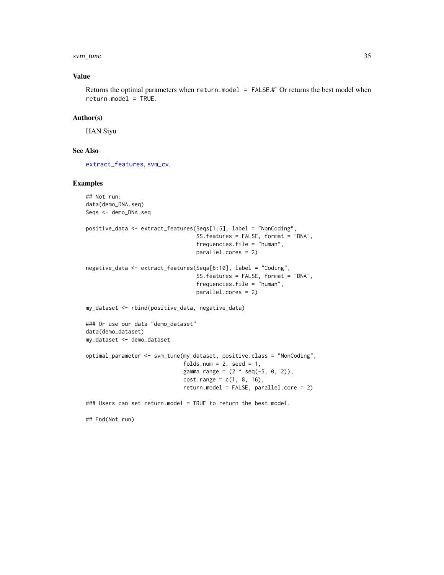#### <span id="page-34-0"></span>svm\_tune 35

## Value

Returns the optimal parameters when return.model = FALSE.#' Or returns the best model when return.model = TRUE.

#### Author(s)

HAN Siyu

## End(Not run)

## See Also

[extract\\_features](#page-17-1), [svm\\_cv](#page-31-1).

## Examples

```
## Not run:
data(demo_DNA.seq)
Seqs <- demo_DNA.seq
positive_data <- extract_features(Seqs[1:5], label = "NonCoding",
                                  SS.features = FALSE, format = "DNA",
                                  frequencies.file = "human",
                                  parallel.cores = 2)
negative_data <- extract_features(Seqs[6:10], label = "Coding",
                                  SS.features = FALSE, format = "DNA",
                                  frequencies.file = "human",
                                  parallel.cores = 2)
my_dataset <- rbind(positive_data, negative_data)
### Or use our data "demo_dataset"
data(demo_dataset)
my_dataset <- demo_dataset
optimal_parameter <- svm_tune(my_dataset, positive.class = "NonCoding",
                              folds.num = 2, seed = 1,
                              gamma.range = (2 \land seq(-5, 0, 2)),cost.random = c(1, 8, 16),
                              return.model = FALSE, parallel.core = 2)
### Users can set return.model = TRUE to return the best model.
```